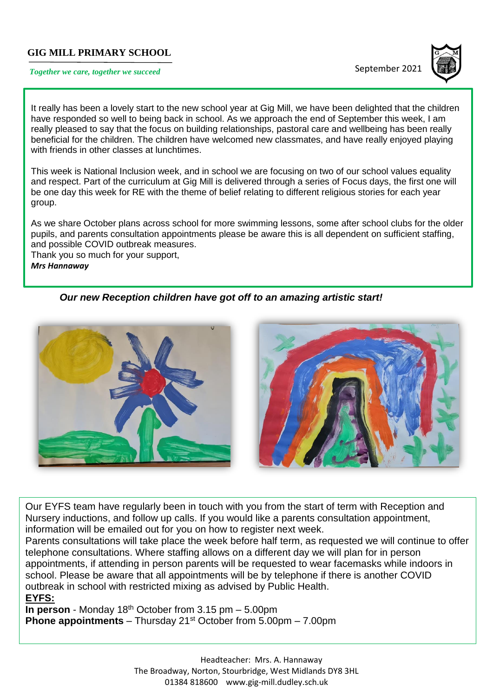## **GIG MILL PRIMARY SCHOOL**

# **Together we care, together we succeed September 2021**



It really has been a lovely start to the new school year at Gig Mill, we have been delighted that the children have responded so well to being back in school. As we approach the end of September this week, I am really pleased to say that the focus on building relationships, pastoral care and wellbeing has been really beneficial for the children. The children have welcomed new classmates, and have really enjoyed playing with friends in other classes at lunchtimes.

This week is National Inclusion week, and in school we are focusing on two of our school values equality and respect. Part of the curriculum at Gig Mill is delivered through a series of Focus days, the first one will be one day this week for RE with the theme of belief relating to different religious stories for each year group.

As we share October plans across school for more swimming lessons, some after school clubs for the older pupils, and parents consultation appointments please be aware this is all dependent on sufficient staffing, and possible COVID outbreak measures.

Thank you so much for your support, *Mrs Hannaway*

*Our new Reception children have got off to an amazing artistic start!*



Our EYFS team have regularly been in touch with you from the start of term with Reception and Nursery inductions, and follow up calls. If you would like a parents consultation appointment, information will be emailed out for you on how to register next week.

Parents consultations will take place the week before half term, as requested we will continue to offer telephone consultations. Where staffing allows on a different day we will plan for in person appointments, if attending in person parents will be requested to wear facemasks while indoors in school. Please be aware that all appointments will be by telephone if there is another COVID outbreak in school with restricted mixing as advised by Public Health. **EYFS:**

**In person** - Monday 18<sup>th</sup> October from 3.15 pm – 5.00pm **Phone appointments** – Thursday 21<sup>st</sup> October from 5.00pm – 7.00pm

> Headteacher: Mrs. A. Hannaway The Broadway, Norton, Stourbridge, West Midlands DY8 3HL 01384 818600 [www.gig-mill.dudley.sch.uk](http://www.gig-mill.dudley.sch.uk/)